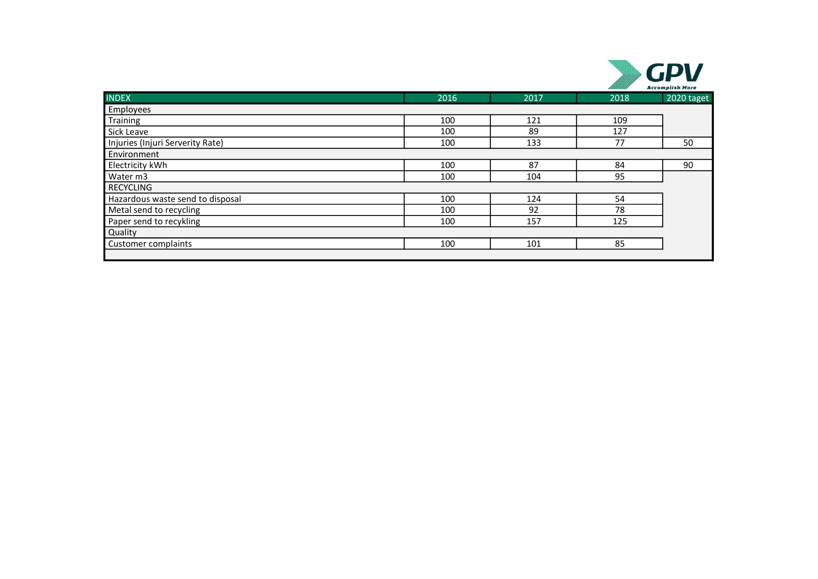|                                  |      |      |      | <b>Accomplish More</b> |
|----------------------------------|------|------|------|------------------------|
| <b>INDEX</b>                     | 2016 | 2017 | 2018 | 2020 taget             |
| Employees                        |      |      |      |                        |
| Training                         | 100  | 121  | 109  |                        |
| Sick Leave                       | 100  | 89   | 127  |                        |
| Injuries (Injuri Serverity Rate) | 100  | 133  | 77   | 50                     |
| Environment                      |      |      |      |                        |
| Electricity kWh                  | 100  | 87   | 84   | 90                     |
| Water m3                         | 100  | 104  | 95   |                        |
| <b>RECYCLING</b>                 |      |      |      |                        |
| Hazardous waste send to disposal | 100  | 124  | 54   |                        |
| Metal send to recycling          | 100  | 92   | 78   |                        |
| Paper send to recykling          | 100  | 157  | 125  |                        |
| Quality                          |      |      |      |                        |
| Customer complaints              | 100  | 101  | 85   |                        |
|                                  |      |      |      |                        |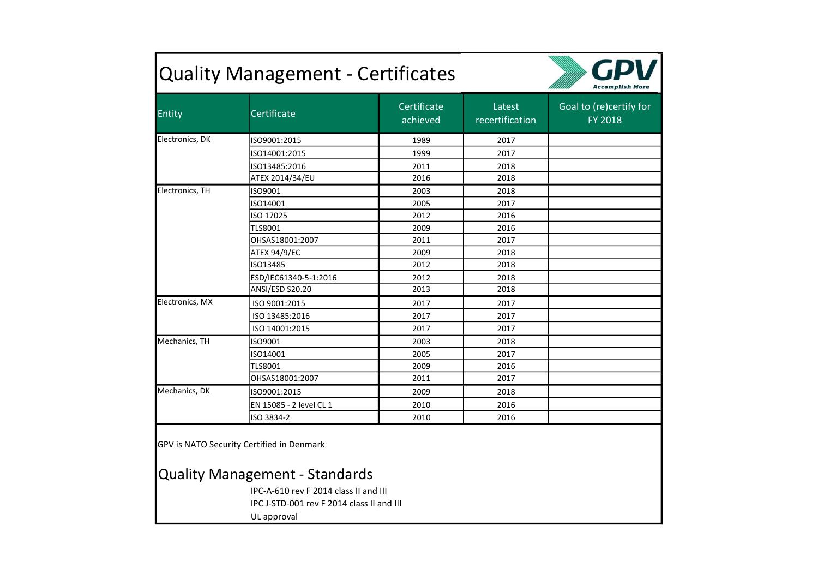| <b>Quality Management - Certificates</b> |                                                                                                                                                                          |                         |                           |                                    |
|------------------------------------------|--------------------------------------------------------------------------------------------------------------------------------------------------------------------------|-------------------------|---------------------------|------------------------------------|
| Entity                                   | Certificate                                                                                                                                                              | Certificate<br>achieved | Latest<br>recertification | Goal to (re)certify for<br>FY 2018 |
| Electronics, DK                          | ISO9001:2015                                                                                                                                                             | 1989                    | 2017                      |                                    |
|                                          | ISO14001:2015                                                                                                                                                            | 1999                    | 2017                      |                                    |
|                                          | ISO13485:2016                                                                                                                                                            | 2011                    | 2018                      |                                    |
|                                          | ATEX 2014/34/EU                                                                                                                                                          | 2016                    | 2018                      |                                    |
| Electronics, TH                          | ISO9001                                                                                                                                                                  | 2003                    | 2018                      |                                    |
|                                          | ISO14001                                                                                                                                                                 | 2005                    | 2017                      |                                    |
|                                          | ISO 17025                                                                                                                                                                | 2012                    | 2016                      |                                    |
|                                          | <b>TLS8001</b>                                                                                                                                                           | 2009                    | 2016                      |                                    |
|                                          | OHSAS18001:2007                                                                                                                                                          | 2011                    | 2017                      |                                    |
|                                          | ATEX 94/9/EC                                                                                                                                                             | 2009                    | 2018                      |                                    |
|                                          | ISO13485                                                                                                                                                                 | 2012                    | 2018                      |                                    |
|                                          | ESD/IEC61340-5-1:2016                                                                                                                                                    | 2012                    | 2018                      |                                    |
|                                          | ANSI/ESD S20.20                                                                                                                                                          | 2013                    | 2018                      |                                    |
| Electronics, MX                          | ISO 9001:2015                                                                                                                                                            | 2017                    | 2017                      |                                    |
|                                          | ISO 13485:2016                                                                                                                                                           | 2017                    | 2017                      |                                    |
|                                          | ISO 14001:2015                                                                                                                                                           | 2017                    | 2017                      |                                    |
| Mechanics, TH                            | ISO9001                                                                                                                                                                  | 2003                    | 2018                      |                                    |
|                                          | ISO14001                                                                                                                                                                 | 2005                    | 2017                      |                                    |
|                                          | <b>TLS8001</b>                                                                                                                                                           | 2009                    | 2016                      |                                    |
|                                          | OHSAS18001:2007                                                                                                                                                          | 2011                    | 2017                      |                                    |
| Mechanics, DK                            | ISO9001:2015                                                                                                                                                             | 2009                    | 2018                      |                                    |
|                                          | EN 15085 - 2 level CL 1                                                                                                                                                  | 2010                    | 2016                      |                                    |
|                                          | ISO 3834-2                                                                                                                                                               | 2010                    | 2016                      |                                    |
|                                          | GPV is NATO Security Certified in Denmark<br><b>Quality Management - Standards</b><br>IPC-A-610 rev F 2014 class II and III<br>IPC J-STD-001 rev F 2014 class II and III |                         |                           |                                    |
|                                          | UL approval                                                                                                                                                              |                         |                           |                                    |